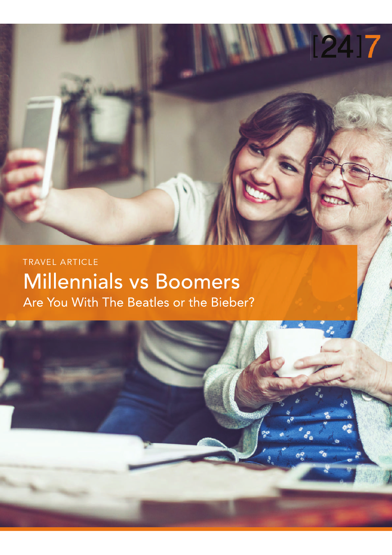

### TRAVEL ARTICLE **Millennials vs Boomers** Are You With The Beatles or the Bieber?

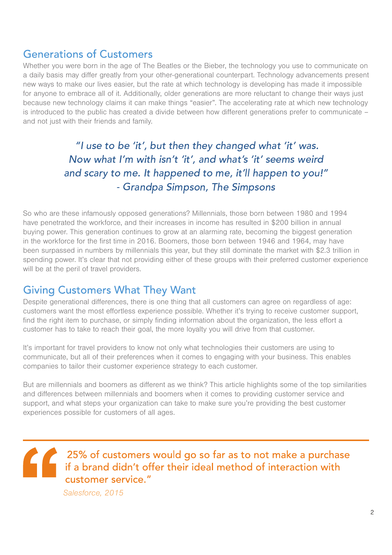### **Generations of Customers**

Whether you were born in the age of The Beatles or the Bieber, the technology you use to communicate on a daily basis may differ greatly from your other-generational counterpart. Technology advancements present new ways to make our lives easier, but the rate at which technology is developing has made it impossible for anyone to embrace all of it. Additionally, older generations are more reluctant to change their ways just because new technology claims it can make things "easier". The accelerating rate at which new technology is introduced to the public has created a divide between how different generations prefer to communicate – and not just with their friends and family.

> Now what I'm with isn't 'it', and what's 'it' seems weird . The contract of the contract of the contract of the contract of the contract of the contract of the contract of the contract of the contract of the contract of the contract of the contract of the contract of the contrac - Grandpa Simpson, The Simpson

So who are these infamously opposed generations? Millennials, those born between 1980 and 1994 have penetrated the workforce, and their increases in income has resulted in \$200 billion in annual buying power. This generation continues to grow at an alarming rate, becoming the biggest generation in the workforce for the first time in 2016. Boomers, those born between 1946 and 1964, may have been surpassed in numbers by millennials this year, but they still dominate the market with \$2.3 trillion in spending power. It's clear that not providing either of these groups with their preferred customer experience will be at the peril of travel providers.

### **Giving Customers What They Want**

Despite generational differences, there is one thing that all customers can agree on regardless of age: customers want the most effortless experience possible. Whether it's trying to receive customer support, find the right item to purchase, or simply finding information about the organization, the less effort a customer has to take to reach their goal, the more loyalty you will drive from that customer.

It's important for travel providers to know not only what technologies their customers are using to communicate, but all of their preferences when it comes to engaging with your business. This enables companies to tailor their customer experience strategy to each customer.

But are millennials and boomers as different as we think? This article highlights some of the top similarities and differences between millennials and boomers when it comes to providing customer service and support, and what steps your organization can take to make sure you're providing the best customer experiences possible for customers of all ages.

### 25% of customers would go so far as to not make a purchase<br>if a brand didn't offer their ideal method of interaction with customer service."

Salesforce, 2015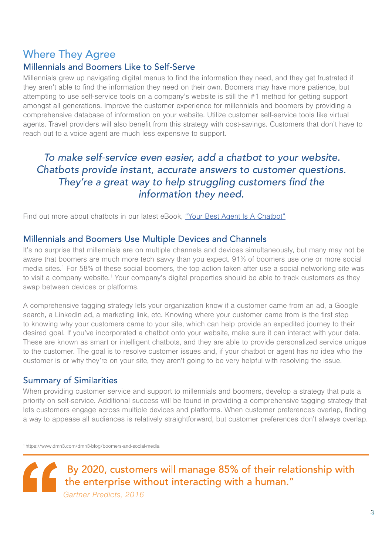### **Where They Agree**

### **Millennials and Boomers Like to Self-Serve**

Millennials grew up navigating digital menus to find the information they need, and they get frustrated if they aren't able to find the information they need on their own. Boomers may have more patience, but attempting to use self-service tools on a company's website is still the #1 method for getting support amongst all generations. Improve the customer experience for millennials and boomers by providing a comprehensive database of information on your website. Utilize customer self-service tools like virtual agents. Travel providers will also benefit from this strategy with cost-savings. Customers that don't have to reach out to a voice agent are much less expensive to support.

### To make self-service even easier, add a chatbot to vour website  $\blacksquare$  . The set of the set of the set of the set of the set of the set of the set of the set of the set of the set of the set of the set of the set of the set of the set of the set of the set of the set of the set of the They're a great way to help struggling customers find the information they need.

Find out more about chatbots in our latest eBook, "Your Best Agent Is A Chatbot"

### Millennials and Boomers Use Multiple Devices and Channels

It's no surprise that millennials are on multiple channels and devices simultaneously, but many may not be aware that boomers are much more tech savvy than you expect. 91% of boomers use one or more social media sites.<sup>1</sup> For 58% of these social boomers, the top action taken after use a social networking site was to visit a company website.<sup>1</sup> Your company's digital properties should be able to track customers as they swap between devices or platforms.

A comprehensive tagging strategy lets your organization know if a customer came from an ad, a Google search, a LinkedIn ad, a marketing link, etc. Knowing where your customer came from is the first step to knowing why your customers came to your site, which can help provide an expedited journey to their desired goal. If you've incorporated a chatbot onto your website, make sure it can interact with your data. These are known as smart or intelligent chatbots, and they are able to provide personalized service unique to the customer. The goal is to resolve customer issues and, if your chatbot or agent has no idea who the customer is or why they're on your site, they aren't going to be very helpful with resolving the issue.

### **Summary of Similarities**

When providing customer service and support to millennials and boomers, develop a strategy that puts a priority on self-service. Additional success will be found in providing a comprehensive tagging strategy that lets customers engage across multiple devices and platforms. When customer preferences overlap, finding a way to appease all audiences is relatively straightforward, but customer preferences don't always overlap.

<sup>1</sup>https://www.dmn3.com/dmn3-blog/boomers-and-social-media

By 2020, customers will manage 85% of their relationship with By 2020, customers will manage contain a human."<br>
Gartner Predicts, 2016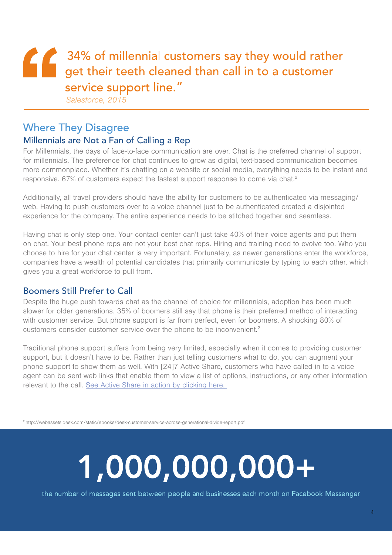## 1 34% of millennial customers say they would rather<br>get their teeth cleaned than call in to a customer service support line."

Salesforce, 2015

### **Where They Disagree** Millennials are Not a Fan of Calling a Rep

For Millennials, the days of face-to-face communication are over. Chat is the preferred channel of support for millennials. The preference for chat continues to grow as digital, text-based communication becomes more commonplace. Whether it's chatting on a website or social media, everything needs to be instant and responsive. 67% of customers expect the fastest support response to come via chat.<sup>2</sup>

Additionally, all travel providers should have the ability for customers to be authenticated via messaging/ web. Having to push customers over to a voice channel just to be authenticated created a disjointed experience for the company. The entire experience needs to be stitched together and seamless.

Having chat is only step one. Your contact center can't just take 40% of their voice agents and put them on chat. Your best phone reps are not your best chat reps. Hiring and training need to evolve too. Who you choose to hire for your chat center is very important. Fortunately, as newer generations enter the workforce, companies have a wealth of potential candidates that primarily communicate by typing to each other, which gives you a great workforce to pull from.

### **Boomers Still Prefer to Call**

Despite the huge push towards chat as the channel of choice for millennials, adoption has been much slower for older generations. 35% of boomers still say that phone is their preferred method of interacting with customer service. But phone support is far from perfect, even for boomers. A shocking 80% of customers consider customer service over the phone to be inconvenient.<sup>2</sup>

Traditional phone support suffers from being very limited, especially when it comes to providing customer support, but it doesn't have to be. Rather than just telling customers what to do, you can augment your phone support to show them as well. With [24]7 Active Share, customers who have called in to a voice agent can be sent web links that enable them to view a list of options, instructions, or any other information relevant to the call. See Active Share in action by clicking here.

<sup>2</sup> http://webassets.desk.com/static/ebooks/desk-customer-service-across-generational-divide-report.pdf

# 1,000,000,000+

the number of messages sent between people and businesses each month on Facebook Messenger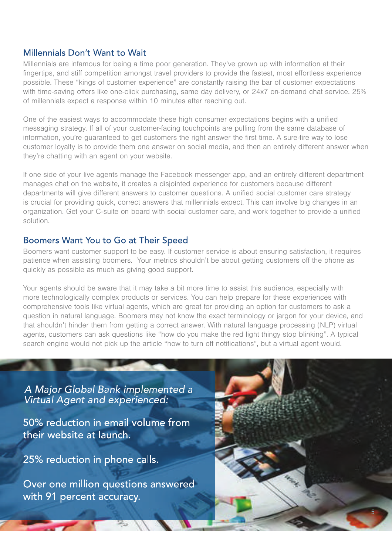### Millennials Don't Want to Wait

Millennials are infamous for being a time poor generation. They've grown up with information at their fingertips, and stiff competition amongst travel providers to provide the fastest, most effortless experience possible. These "kings of customer experience" are constantly raising the bar of customer expectations with time-saving offers like one-click purchasing, same day delivery, or 24x7 on-demand chat service, 25% of millennials expect a response within 10 minutes after reaching out.

One of the easiest ways to accommodate these high consumer expectations begins with a unified messaging strategy. If all of your customer-facing touchpoints are pulling from the same database of information, you're guaranteed to get customers the right answer the first time. A sure-fire way to lose customer loyalty is to provide them one answer on social media, and then an entirely different answer when they're chatting with an agent on your website.

If one side of your live agents manage the Facebook messenger app, and an entirely different department manages chat on the website, it creates a disjointed experience for customers because different departments will give different answers to customer questions. A unified social customer care strategy is crucial for providing quick, correct answers that millennials expect. This can involve big changes in an organization. Get your C-suite on board with social customer care, and work together to provide a unified solution.

### Boomers Want You to Go at Their Speed

Boomers want customer support to be easy. If customer service is about ensuring satisfaction, it requires patience when assisting boomers. Your metrics shouldn't be about getting customers off the phone as quickly as possible as much as giving good support.

Your agents should be aware that it may take a bit more time to assist this audience, especially with more technologically complex products or services. You can help prepare for these experiences with comprehensive tools like virtual agents, which are great for providing an option for customers to ask a question in natural language. Boomers may not know the exact terminology or jargon for your device, and that shouldn't hinder them from getting a correct answer. With natural language processing (NLP) virtual agents, customers can ask questions like "how do you make the red light thingy stop blinking". A typical search engine would not pick up the article "how to turn off notifications", but a virtual agent would.

A Maior Global Rank implemented  $\blacksquare$  . The contract of the contract of the contract of the contract of the contract of the contract of the contract of the contract of the contract of the contract of the contract of the contract of the contract of the

50% reduction in email volume from their website at launch.

25% reduction in phone calls.

Over one million questions answered with 91 percent accuracy.

P.